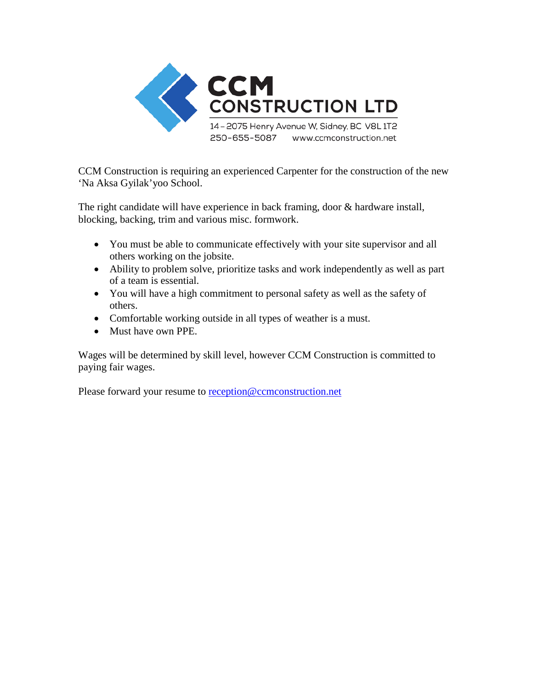

CCM Construction is requiring an experienced Carpenter for the construction of the new 'Na Aksa Gyilak'yoo School.

The right candidate will have experience in back framing, door & hardware install, blocking, backing, trim and various misc. formwork.

- You must be able to communicate effectively with your site supervisor and all others working on the jobsite.
- Ability to problem solve, prioritize tasks and work independently as well as part of a team is essential.
- You will have a high commitment to personal safety as well as the safety of others.
- Comfortable working outside in all types of weather is a must.
- Must have own PPE.

Wages will be determined by skill level, however CCM Construction is committed to paying fair wages.

Please forward your resume to [reception@ccmconstruction.net](mailto:reception@ccmconstruction.net)